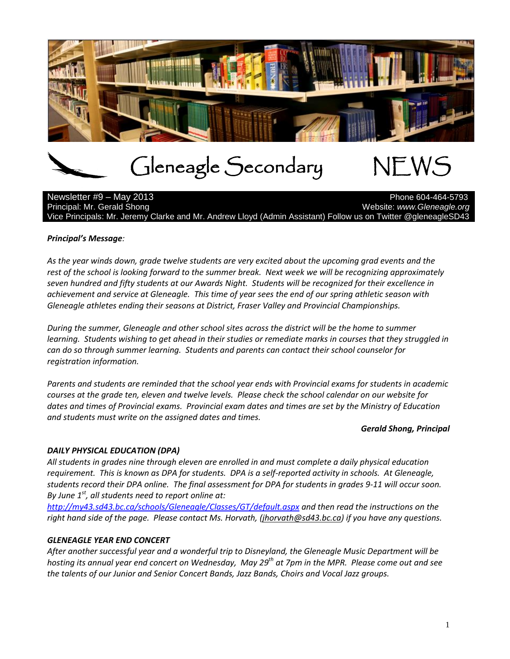

# Gleneagle Secondary NEWS

Newsletter #9 – May 2013 Principal: Mr. Gerald Shong Website: *www.Gleneagle.org* Website: *www.Gleneagle.org* Vice Principals: Mr. Jeremy Clarke and Mr. Andrew Lloyd (Admin Assistant) Follow us on Twitter @gleneagleSD43

### *Principal's Message:*

*As the year winds down, grade twelve students are very excited about the upcoming grad events and the rest of the school is looking forward to the summer break. Next week we will be recognizing approximately seven hundred and fifty students at our Awards Night. Students will be recognized for their excellence in achievement and service at Gleneagle. This time of year sees the end of our spring athletic season with Gleneagle athletes ending their seasons at District, Fraser Valley and Provincial Championships.*

*During the summer, Gleneagle and other school sites across the district will be the home to summer learning. Students wishing to get ahead in their studies or remediate marks in courses that they struggled in can do so through summer learning. Students and parents can contact their school counselor for registration information.*

*Parents and students are reminded that the school year ends with Provincial exams for students in academic courses at the grade ten, eleven and twelve levels. Please check the school calendar on our website for dates and times of Provincial exams. Provincial exam dates and times are set by the Ministry of Education and students must write on the assigned dates and times.*

#### *Gerald Shong, Principal*

# *DAILY PHYSICAL EDUCATION (DPA)*

*All students in grades nine through eleven are enrolled in and must complete a daily physical education requirement. This is known as DPA for students. DPA is a self-reported activity in schools. At Gleneagle, students record their DPA online. The final assessment for DPA for students in grades 9-11 will occur soon. By June 1st , all students need to report online at:*

*<http://my43.sd43.bc.ca/schools/Gleneagle/Classes/GT/default.aspx> and then read the instructions on the right hand side of the page. Please contact Ms. Horvath, [\(jhorvath@sd43.bc.ca\)](mailto:jhorvath@sd43.bc.ca) if you have any questions.*

#### *GLENEAGLE YEAR END CONCERT*

*After another successful year and a wonderful trip to Disneyland, the Gleneagle Music Department will be hosting its annual year end concert on Wednesday, May 29th at 7pm in the MPR. Please come out and see the talents of our Junior and Senior Concert Bands, Jazz Bands, Choirs and Vocal Jazz groups.*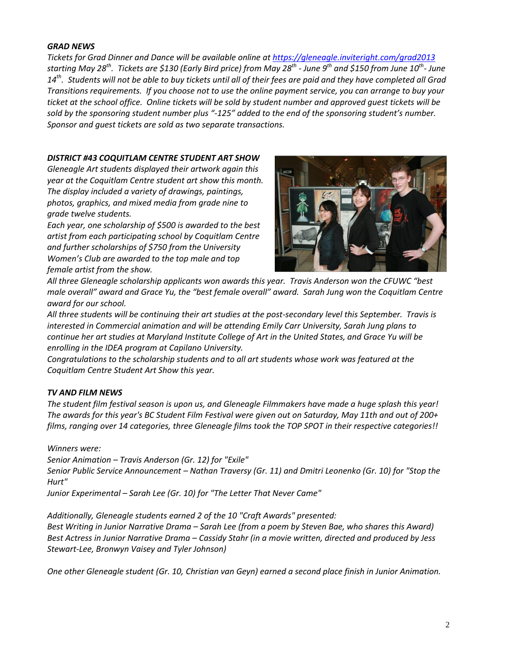#### *GRAD NEWS*

*Tickets for Grad Dinner and Dance will be available online at<https://gleneagle.inviteright.com/grad2013> starting May 28th. Tickets are \$130 (Early Bird price) from May 28th - June 9th and \$150 from June 10th - June 14th. Students will not be able to buy tickets until all of their fees are paid and they have completed all Grad Transitions requirements. If you choose not to use the online payment service, you can arrange to buy your ticket at the school office. Online tickets will be sold by student number and approved guest tickets will be sold by the sponsoring student number plus "-125" added to the end of the sponsoring student's number. Sponsor and guest tickets are sold as two separate transactions.*

#### *DISTRICT #43 COQUITLAM CENTRE STUDENT ART SHOW*

*Gleneagle Art students displayed their artwork again this year at the Coquitlam Centre student art show this month. The display included a variety of drawings, paintings, photos, graphics, and mixed media from grade nine to grade twelve students.*

*Each year, one scholarship of \$500 is awarded to the best artist from each participating school by Coquitlam Centre and further scholarships of \$750 from the University Women's Club are awarded to the top male and top female artist from the show.* 



*All three Gleneagle scholarship applicants won awards this year. Travis Anderson won the CFUWC "best male overall" award and Grace Yu, the "best female overall" award. Sarah Jung won the Coquitlam Centre award for our school.*

*All three students will be continuing their art studies at the post-secondary level this September. Travis is interested in Commercial animation and will be attending Emily Carr University, Sarah Jung plans to continue her art studies at Maryland Institute College of Art in the United States, and Grace Yu will be enrolling in the IDEA program at Capilano University.*

*Congratulations to the scholarship students and to all art students whose work was featured at the Coquitlam Centre Student Art Show this year.*

# *TV AND FILM NEWS*

*The student film festival season is upon us, and Gleneagle Filmmakers have made a huge splash this year! The awards for this year's BC Student Film Festival were given out on Saturday, May 11th and out of 200+ films, ranging over 14 categories, three Gleneagle films took the TOP SPOT in their respective categories!!*

*Winners were:*

*Senior Animation – Travis Anderson (Gr. 12) for "Exile"*

*Senior Public Service Announcement – Nathan Traversy (Gr. 11) and Dmitri Leonenko (Gr. 10) for "Stop the Hurt"*

*Junior Experimental – Sarah Lee (Gr. 10) for "The Letter That Never Came"*

*Additionally, Gleneagle students earned 2 of the 10 "Craft Awards" presented: Best Writing in Junior Narrative Drama – Sarah Lee (from a poem by Steven Bae, who shares this Award) Best Actress in Junior Narrative Drama – Cassidy Stahr (in a movie written, directed and produced by Jess Stewart-Lee, Bronwyn Vaisey and Tyler Johnson)*

*One other Gleneagle student (Gr. 10, Christian van Geyn) earned a second place finish in Junior Animation.*